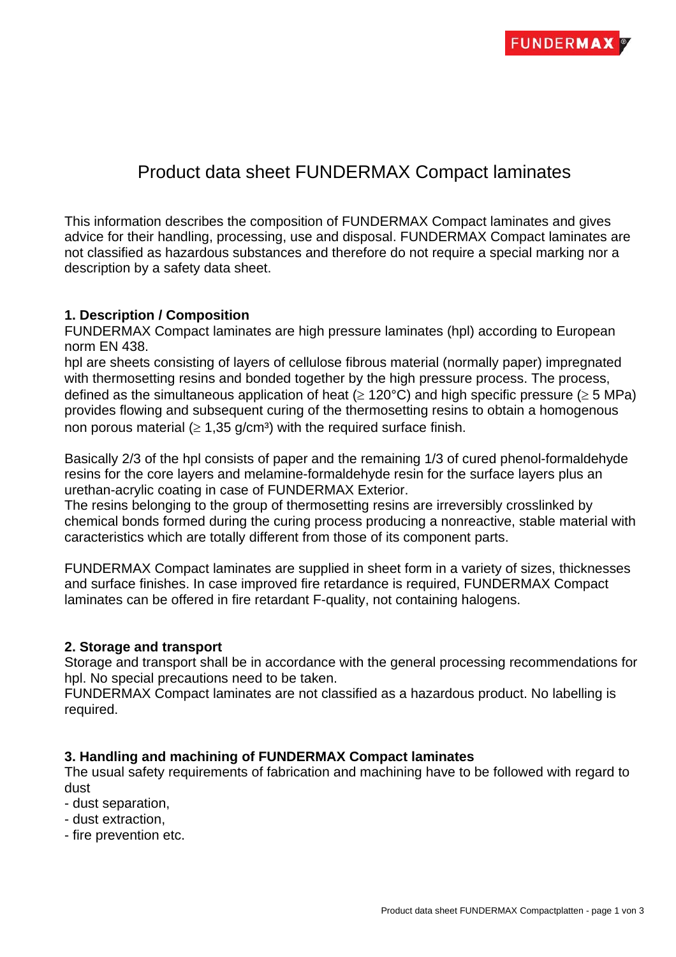# Product data sheet FUNDERMAX Compact laminates

This information describes the composition of FUNDERMAX Compact laminates and gives advice for their handling, processing, use and disposal. FUNDERMAX Compact laminates are not classified as hazardous substances and therefore do not require a special marking nor a description by a safety data sheet.

### **1. Description / Composition**

FUNDERMAX Compact laminates are high pressure laminates (hpl) according to European norm EN 438.

hpl are sheets consisting of layers of cellulose fibrous material (normally paper) impregnated with thermosetting resins and bonded together by the high pressure process. The process, defined as the simultaneous application of heat ( $\geq$  120°C) and high specific pressure ( $\geq$  5 MPa) provides flowing and subsequent curing of the thermosetting resins to obtain a homogenous non porous material ( $\geq 1,35$  g/cm<sup>3</sup>) with the required surface finish.

Basically 2/3 of the hpl consists of paper and the remaining 1/3 of cured phenol-formaldehyde resins for the core layers and melamine-formaldehyde resin for the surface layers plus an urethan-acrylic coating in case of FUNDERMAX Exterior.

The resins belonging to the group of thermosetting resins are irreversibly crosslinked by chemical bonds formed during the curing process producing a nonreactive, stable material with caracteristics which are totally different from those of its component parts.

FUNDERMAX Compact laminates are supplied in sheet form in a variety of sizes, thicknesses and surface finishes. In case improved fire retardance is required, FUNDERMAX Compact laminates can be offered in fire retardant F-quality, not containing halogens.

### **2. Storage and transport**

Storage and transport shall be in accordance with the general processing recommendations for hpl. No special precautions need to be taken.

FUNDERMAX Compact laminates are not classified as a hazardous product. No labelling is required.

### **3. Handling and machining of FUNDERMAX Compact laminates**

The usual safety requirements of fabrication and machining have to be followed with regard to dust

- dust separation,
- dust extraction,
- fire prevention etc.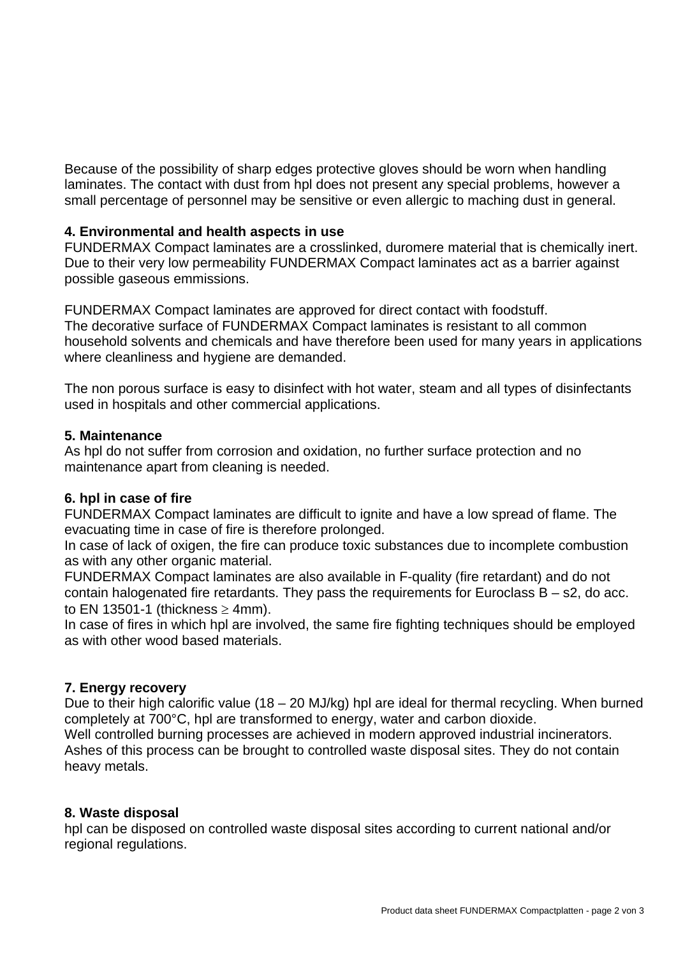Because of the possibility of sharp edges protective gloves should be worn when handling laminates. The contact with dust from hpl does not present any special problems, however a small percentage of personnel may be sensitive or even allergic to maching dust in general.

## **4. Environmental and health aspects in use**

FUNDERMAX Compact laminates are a crosslinked, duromere material that is chemically inert. Due to their very low permeability FUNDERMAX Compact laminates act as a barrier against possible gaseous emmissions.

FUNDERMAX Compact laminates are approved for direct contact with foodstuff. The decorative surface of FUNDERMAX Compact laminates is resistant to all common household solvents and chemicals and have therefore been used for many years in applications where cleanliness and hygiene are demanded.

The non porous surface is easy to disinfect with hot water, steam and all types of disinfectants used in hospitals and other commercial applications.

### **5. Maintenance**

As hpl do not suffer from corrosion and oxidation, no further surface protection and no maintenance apart from cleaning is needed.

## **6. hpl in case of fire**

FUNDERMAX Compact laminates are difficult to ignite and have a low spread of flame. The evacuating time in case of fire is therefore prolonged.

In case of lack of oxigen, the fire can produce toxic substances due to incomplete combustion as with any other organic material.

FUNDERMAX Compact laminates are also available in F-quality (fire retardant) and do not contain halogenated fire retardants. They pass the requirements for Euroclass  $B - s2$ , do acc. to EN 13501-1 (thickness  $\geq$  4mm).

In case of fires in which hpl are involved, the same fire fighting techniques should be employed as with other wood based materials.

## **7. Energy recovery**

Due to their high calorific value (18 – 20 MJ/kg) hpl are ideal for thermal recycling. When burned completely at 700°C, hpl are transformed to energy, water and carbon dioxide.

Well controlled burning processes are achieved in modern approved industrial incinerators. Ashes of this process can be brought to controlled waste disposal sites. They do not contain heavy metals.

### **8. Waste disposal**

hpl can be disposed on controlled waste disposal sites according to current national and/or regional regulations.